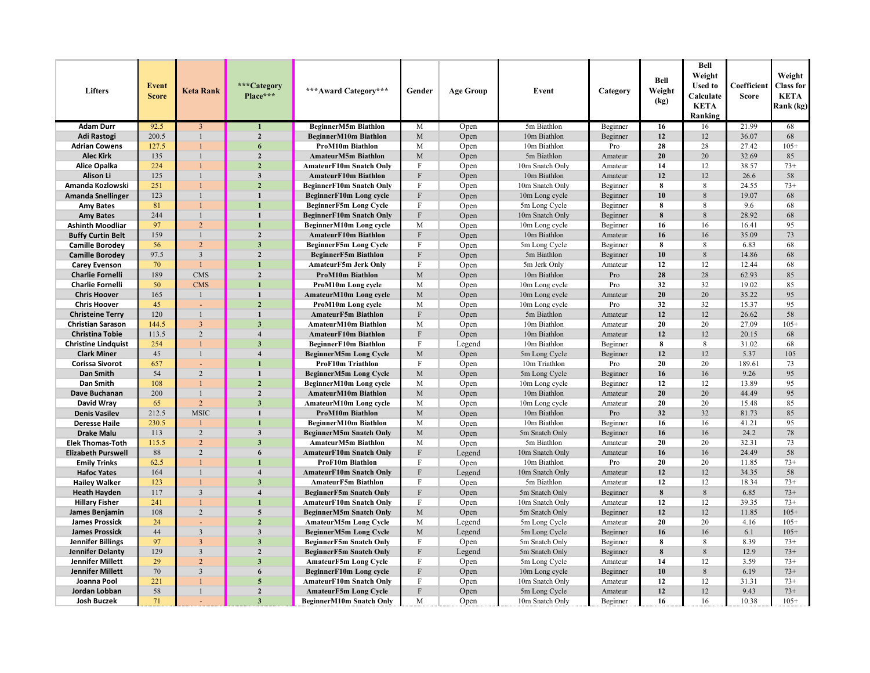| Lifters                    | <b>Event</b><br><b>Score</b> | Keta Rank               | ***Category<br>Place*** | ***Award Category***            | Gender                    | <b>Age Group</b> | Event           | Category | Bell<br>Weight<br>(kg) | <b>Bell</b><br>Weight<br><b>Used to</b><br>Calculate<br><b>KETA</b><br>Ranking | Coefficient<br><b>Score</b> | Weight<br><b>Class for</b><br><b>KETA</b><br>Rank (kg) |
|----------------------------|------------------------------|-------------------------|-------------------------|---------------------------------|---------------------------|------------------|-----------------|----------|------------------------|--------------------------------------------------------------------------------|-----------------------------|--------------------------------------------------------|
| <b>Adam Durr</b>           | 92.5                         | $\overline{3}$          |                         | BeginnerM5m Biathlon            | $\mathbf M$               | Open             | 5m Biathlon     | Beginner | 16                     | 16                                                                             | 21.99                       | 68                                                     |
| Adi Rastogi                | 200.5                        | $\mathbf{1}$            | $\overline{2}$          | BeginnerM10m Biathlon           | $\mathbf M$               | Open             | 10m Biathlon    | Beginner | 12                     | 12                                                                             | 36.07                       | 68                                                     |
| <b>Adrian Cowens</b>       | 127.5                        |                         | 6                       | ProM10m Biathlon                | М                         | Open             | 10m Biathlon    | Pro      | 28                     | 28                                                                             | 27.42                       | $105+$                                                 |
| <b>Alec Kirk</b>           | 135                          | $\mathbf{1}$            | $\mathbf{2}$            | AmateurM5m Biathlon             | $\mathbf M$               | Open             | 5m Biathlon     | Amateur  | 20                     | 20                                                                             | 32.69                       | 85                                                     |
| Alice Opalka               | 224                          | 1                       | $\overline{2}$          | <b>AmateurF10m Snatch Only</b>  | F                         | Open             | 10m Snatch Only | Amateur  | 14                     | 12                                                                             | 38.57                       | $73+$                                                  |
| Alison Li                  | 125                          | $\mathbf{1}$            | 3                       | <b>AmateurF10m Biathlon</b>     | $\mathbf{F}$              | Open             | 10m Biathlon    | Amateur  | 12                     | 12                                                                             | 26.6                        | 58                                                     |
| Amanda Kozlowski           | 251                          | 1                       | $\overline{2}$          | <b>BeginnerF10m Snatch Only</b> | $\mathbf F$               | Open             | 10m Snatch Only | Beginner | 8                      | 8                                                                              | 24.55                       | $73+$                                                  |
| <b>Amanda Snellinger</b>   | 123                          | $\mathbf{1}$            | $\mathbf{1}$            | BeginnerF10m Long cycle         | $\mathbf{F}$              | Open             | 10m Long cycle  | Beginner | 10                     | 8                                                                              | 19.07                       | 68                                                     |
| <b>Amy Bates</b>           | 81                           | 1                       | $\blacksquare$          | <b>BeginnerF5m Long Cycle</b>   | F                         | Open             | 5m Long Cycle   | Beginner | 8                      | 8                                                                              | 9.6                         | 68                                                     |
| <b>Amy Bates</b>           | 244                          | $\mathbf{1}$            | $\mathbf{1}$            | <b>BeginnerF10m Snatch Only</b> | F                         | Open             | 10m Snatch Only | Beginner | 8                      | 8                                                                              | 28.92                       | 68                                                     |
| <b>Ashinth Moodliar</b>    | 97                           | $\overline{2}$          | $\mathbf{1}$            | BeginnerM10m Long cycle         | M                         | Open             | 10m Long cycle  | Beginner | 16                     | 16                                                                             | 16.41                       | 95                                                     |
| <b>Buffy Curtin Belt</b>   | 159                          | $\mathbf{1}$            | $\overline{2}$          | <b>AmateurF10m Biathlon</b>     | $\mathbf F$               | Open             | 10m Biathlon    | Amateur  | 16                     | 16                                                                             | 35.09                       | 73                                                     |
| <b>Camille Borodey</b>     | 56                           | $\overline{2}$          | $\overline{\mathbf{3}}$ | <b>BeginnerF5m Long Cycle</b>   | F                         | Open             | 5m Long Cycle   | Beginner | 8                      | 8                                                                              | 6.83                        | 68                                                     |
| <b>Camille Borodey</b>     | 97.5                         | $\overline{\mathbf{3}}$ | $\overline{2}$          | <b>BeginnerF5m Biathlon</b>     | F                         | Open             | 5m Biathlon     | Beginner | 10                     | $\,8\,$                                                                        | 14.86                       | 68                                                     |
| <b>Carey Evenson</b>       | 70                           | $\mathbf{1}$            | $\mathbf{1}$            | AmateurF5m Jerk Only            | F                         | Open             | 5m Jerk Only    | Amateur  | 12                     | 12                                                                             | 12.44                       | 68                                                     |
| <b>Charlie Fornelli</b>    | 189                          | CMS <sub>max</sub>      | $\overline{2}$          | <b>ProM10m Biathlon</b>         | $\mathbf M$               | Open             | 10m Biathlon    | Pro      | 28                     | 28                                                                             | 62.93                       | 85                                                     |
| <b>Charlie Fornelli</b>    | 50                           | <b>CMS</b>              | $\mathbf{1}$            | ProM10m Long cycle              | М                         | Open             | 10m Long cycle  | Pro      | 32                     | 32                                                                             | 19.02                       | 85                                                     |
| <b>Chris Hoover</b>        | 165                          | $\mathbf{1}$            | $\mathbf{1}$            | AmateurM10m Long cycle          | M                         | Open             | 10m Long cycle  | Amateur  | 20                     | 20                                                                             | 35.22                       | 95                                                     |
| <b>Chris Hoover</b>        | 45                           |                         | $\overline{2}$          | ProM10m Long cycle              | M                         | Open             | 10m Long cycle  | Pro      | 32                     | 32                                                                             | 15.37                       | 95                                                     |
| <b>Christeine Terry</b>    | 120                          | $\mathbf{1}$            | $\mathbf{1}$            | <b>AmateurF5m Biathlon</b>      | F                         | Open             | 5m Biathlon     | Amateur  | 12                     | 12                                                                             | 26.62                       | 58                                                     |
| <b>Christian Sarason</b>   | 144.5                        | $\overline{3}$          | $\overline{\mathbf{3}}$ | AmateurM10m Biathlon            | M                         | Open             | 10m Biathlon    | Amateur  | 20                     | 20                                                                             | 27.09                       | $105+$                                                 |
| <b>Christina Tobie</b>     | 113.5                        | 2                       | $\overline{\mathbf{4}}$ | <b>AmateurF10m Biathlon</b>     | $\mathbf F$               | Open             | 10m Biathlon    | Amateur  | 12                     | 12                                                                             | 20.15                       | 68                                                     |
| <b>Christine Lindquist</b> | 254                          | 1                       | 3                       | <b>BeginnerF10m Biathlon</b>    | F                         | Legend           | 10m Biathlon    | Beginner | 8                      | 8                                                                              | 31.02                       | 68                                                     |
| <b>Clark Miner</b>         | 45                           | $\mathbf{1}$            | $\overline{\mathbf{4}}$ | <b>BeginnerM5m Long Cycle</b>   | M                         | Open             | 5m Long Cycle   | Beginner | 12                     | 12                                                                             | 5.37                        | 105                                                    |
| <b>Corissa Sivorot</b>     | 657                          |                         | $\blacksquare$          | ProF10m Triathlon               | F                         | Open             | 10m Triathlon   | Pro      | 20                     | 20                                                                             | 189.61                      | 73                                                     |
| Dan Smith                  | 54                           | 2                       | $\mathbf{1}$            | <b>BeginnerM5m Long Cycle</b>   | $\mathbf M$               | Open             | 5m Long Cycle   | Beginner | 16                     | 16                                                                             | 9.26                        | 95                                                     |
| Dan Smith                  | 108                          | 1                       | $\overline{2}$          | BeginnerM10m Long cycle         | М                         | Open             | 10m Long cycle  | Beginner | 12                     | 12                                                                             | 13.89                       | 95                                                     |
| Dave Buchanan              | 200                          | $\mathbf{1}$            | $\boldsymbol{2}$        | AmateurM10m Biathlon            | $\mathbf M$               | Open             | 10m Biathlon    | Amateur  | 20                     | 20                                                                             | 44.49                       | 95                                                     |
| David Wray                 | 65                           | $\overline{2}$          | $\overline{\mathbf{3}}$ | <b>AmateurM10m Long cycle</b>   | M                         | Open             | 10m Long cycle  | Amateur  | 20                     | 20                                                                             | 15.48                       | 85                                                     |
| <b>Denis Vasilev</b>       | 212.5                        | <b>MSIC</b>             | $\mathbf{1}$            | <b>ProM10m Biathlon</b>         | $\mathbf{M}$              | Open             | 10m Biathlon    | Pro      | 32                     | 32                                                                             | 81.73                       | 85                                                     |
| <b>Deresse Haile</b>       | 230.5                        | 1                       | $\mathbf{1}$            | BeginnerM10m Biathlon           | M                         | Open             | 10m Biathlon    | Beginner | 16                     | 16                                                                             | 41.21                       | 95                                                     |
| <b>Drake Malu</b>          | 113                          | $\overline{2}$          | $\overline{\mathbf{3}}$ | <b>BeginnerM5m Snatch Only</b>  | $\mathbf M$               | Open             | 5m Snatch Only  | Beginner | 16                     | 16                                                                             | 24.2                        | 78                                                     |
| <b>Elek Thomas-Toth</b>    | 115.5                        | $\overline{2}$          | $\overline{\mathbf{3}}$ | <b>AmateurM5m Biathlon</b>      | M                         | Open             | 5m Biathlon     | Amateur  | 20                     | 20                                                                             | 32.31                       | 73                                                     |
| <b>Elizabeth Purswell</b>  | 88                           | $\overline{c}$          | 6                       | <b>AmateurF10m Snatch Only</b>  | F                         | Legend           | 10m Snatch Only | Amateur  | 16                     | 16                                                                             | 24.49                       | 58                                                     |
| <b>Emily Trinks</b>        | 62.5                         | $\mathbf{1}$            | $\mathbf{1}$            | ProF10m Biathlon                | $\mathbf F$               | Open             | 10m Biathlon    | Pro      | 20                     | 20                                                                             | 11.85                       | $73+$                                                  |
| <b>Hafoc Yates</b>         | 164                          | $\mathbf{1}$            | $\overline{\mathbf{4}}$ | <b>AmateurF10m Snatch Only</b>  | $\mathbf F$               | Legend           | 10m Snatch Only | Amateur  | 12                     | 12                                                                             | 34.35                       | 58                                                     |
| <b>Hailey Walker</b>       | 123                          | $\mathbf{1}$            | $\overline{3}$          | AmateurF5m Biathlon             | F                         | Open             | 5m Biathlon     | Amateur  | 12                     | 12                                                                             | 18.34                       | $73+$                                                  |
| <b>Heath Hayden</b>        | 117                          | $\overline{3}$          | $\overline{\mathbf{4}}$ | <b>BeginnerF5m Snatch Only</b>  | $\boldsymbol{\mathrm{F}}$ | Open             | 5m Snatch Only  | Beginner | 8                      | $\,8\,$                                                                        | 6.85                        | $73+$                                                  |
| <b>Hillary Fisher</b>      | 241                          | $\mathbf{1}$            | $\blacksquare$          | AmateurF10m Snatch Only         | F                         | Open             | 10m Snatch Only | Amateur  | 12                     | 12                                                                             | 39.35                       | $73+$                                                  |
| James Benjamin             | 108                          | $\overline{2}$          | 5                       | <b>BeginnerM5m Snatch Only</b>  | M                         | Open             | 5m Snatch Only  | Beginner | 12                     | 12                                                                             | 11.85                       | $105+$                                                 |
| <b>James Prossick</b>      | 24                           | ÷,                      | $\overline{2}$          | <b>AmateurM5m Long Cycle</b>    | M                         | Legend           | 5m Long Cycle   | Amateur  | 20                     | 20                                                                             | 4.16                        | $105+$                                                 |
| <b>James Prossick</b>      | 44                           | $\overline{\mathbf{3}}$ | $\overline{\mathbf{3}}$ | <b>BeginnerM5m Long Cycle</b>   | M                         | Legend           | 5m Long Cycle   | Beginner | 16                     | 16                                                                             | 6.1                         | $105+$                                                 |
| Jennifer Billings          | 97                           | $\overline{3}$          | $\overline{\mathbf{3}}$ | <b>BeginnerF5m Snatch Only</b>  | F                         | Open             | 5m Snatch Only  | Beginner | 8                      | 8                                                                              | 8.39                        | $73+$                                                  |
| Jennifer Delanty           | 129                          | $\overline{\mathbf{3}}$ | $\overline{2}$          | <b>BeginnerF5m Snatch Only</b>  | $\mathbf F$               | Legend           | 5m Snatch Only  | Beginner | 8                      | 8                                                                              | 12.9                        | $73+$                                                  |
| Jennifer Millett           | 29                           | $\overline{2}$          | $\overline{3}$          | <b>AmateurF5m Long Cycle</b>    | $\mathbf F$               | Open             | 5m Long Cycle   | Amateur  | 14                     | 12                                                                             | 3.59                        | $73+$                                                  |
| Jennifer Millett           | 70                           | $\overline{3}$          | 6                       | BeginnerF10m Long cycle         | $\mathbf F$               | Open             | 10m Long cycle  | Beginner | 10                     | 8                                                                              | 6.19                        | $73+$                                                  |
| Joanna Pool                | 221                          |                         | 5                       | AmateurF10m Snatch Only         | F                         | Open             | 10m Snatch Only | Amateur  | 12                     | 12                                                                             | 31.31                       | $73+$                                                  |
| Jordan Lobban              | 58                           | $\mathbf{1}$            | $\overline{2}$          | <b>AmateurF5m Long Cycle</b>    | $\boldsymbol{\mathrm{F}}$ | Open             | 5m Long Cycle   | Amateur  | 12                     | 12                                                                             | 9.43                        | $73+$                                                  |
| Josh Buczek                | 71                           |                         | 3                       | <b>BeginnerM10m Snatch Only</b> | M                         | Open             | 10m Snatch Only | Beginner | 16                     | 16                                                                             | 10.38                       | $105+$                                                 |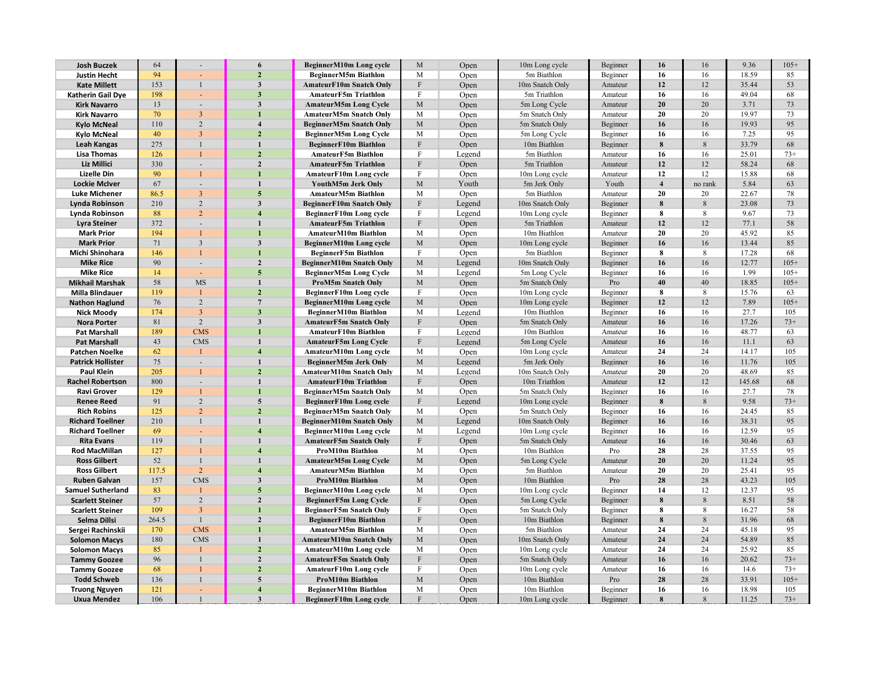| <b>Josh Buczek</b>       | 64     |                          | 6                       | BeginnerM10m Long cycle         | M                          | Open   | 10m Long cycle  | Beginner | 16                      | 16           | 9.36   | $105+$ |
|--------------------------|--------|--------------------------|-------------------------|---------------------------------|----------------------------|--------|-----------------|----------|-------------------------|--------------|--------|--------|
| <b>Justin Hecht</b>      | 94     |                          | $\overline{2}$          | BeginnerM5m Biathlon            | M                          | Open   | 5m Biathlon     | Beginner | 16                      | 16           | 18.59  | 85     |
| <b>Kate Millett</b>      | 153    | $\mathbf{1}$             | $\mathbf{3}$            | <b>AmateurF10m Snatch Only</b>  | $\mathbf F$                | Open   | 10m Snatch Only | Amateur  | 12                      | 12           | 35.44  | 53     |
| Katherin Gail Dye        | 198    |                          | $\overline{\mathbf{3}}$ | <b>AmateurF5m Triathlon</b>     | F                          | Open   | 5m Triathlon    | Amateur  | 16                      | 16           | 49.04  | 68     |
| <b>Kirk Navarro</b>      | 13     | ٠                        | $\overline{\mathbf{3}}$ | <b>AmateurM5m Long Cycle</b>    | M                          | Open   | 5m Long Cycle   | Amateur  | 20                      | 20           | 3.71   | 73     |
| <b>Kirk Navarro</b>      | 70     | $\mathfrak{Z}$           |                         | AmateurM5m Snatch Only          | M                          | Open   | 5m Snatch Only  | Amateur  | 20                      | 20           | 19.97  | 73     |
| <b>Kylo McNeal</b>       | 110    | $\sqrt{2}$               | $\boldsymbol{4}$        | <b>BeginnerM5m Snatch Only</b>  | $\mathbf M$                | Open   | 5m Snatch Only  | Beginner | 16                      | 16           | 19.93  | 95     |
| <b>Kylo McNeal</b>       | 40     | $\overline{3}$           | $\overline{2}$          | <b>BeginnerM5m Long Cycle</b>   | M                          | Open   | 5m Long Cycle   | Beginner | 16                      | 16           | 7.25   | 95     |
| Leah Kangas              | 275    | $\mathbf{1}$             | $\mathbf{1}$            | <b>BeginnerF10m Biathlon</b>    | $\mathbf{F}$               | Open   | 10m Biathlon    | Beginner | 8                       | 8            | 33.79  | 68     |
| <b>Lisa Thomas</b>       | 126    | $\mathbf{1}$             | $\overline{2}$          | AmateurF5m Biathlon             | $\mathbf F$                | Legend | 5m Biathlon     | Amateur  | 16                      | 16           | 25.01  | $73+$  |
| Liz Millici              | 330    | $\overline{\phantom{a}}$ | $\overline{2}$          | <b>AmateurF5m Triathlon</b>     | F                          | Open   | 5m Triathlon    | Amateur  | 12                      | 12           | 58.24  | 68     |
| Lizelle Din              | 90     | $\mathbf{1}$             |                         | AmateurF10m Long cycle          | $\mathbf F$                | Open   | 10m Long cycle  | Amateur  | 12                      | 12           | 15.88  | 68     |
| <b>Lockie McIver</b>     | 67     | $\sim$                   | $\mathbf{1}$            | YouthM5m Jerk Only              | M                          | Youth  | 5m Jerk Only    | Youth    | $\overline{\mathbf{4}}$ | no rank      | 5.84   | 63     |
| Luke Michener            | 86.5   | $\mathfrak{Z}$           | 5                       | <b>AmateurM5m Biathlon</b>      | М                          | Open   | 5m Biathlon     | Amateur  | 20                      | 20           | 22.67  | 78     |
| Lynda Robinson           | 210    | $\overline{c}$           | 3                       | <b>BeginnerF10m Snatch Only</b> | F                          | Legend | 10m Snatch Only | Beginner | 8                       | 8            | 23.08  | 73     |
| Lynda Robinson           | 88     | $\sqrt{2}$               |                         | BeginnerF10m Long cycle         | $\mathbf{F}$               | Legend | 10m Long cycle  | Beginner | 8                       | 8            | 9.67   | 73     |
| Lyra Steiner             | 372    | $\sim$                   |                         | <b>AmateurF5m Triathlon</b>     | $\mathbf F$                | Open   | 5m Triathlon    | Amateur  | 12                      | 12           | 77.1   | 58     |
| <b>Mark Prior</b>        | 194    | 1                        |                         | AmateurM10m Biathlon            | M                          | Open   | 10m Biathlon    | Amateur  | 20                      | 20           | 45.92  | 85     |
| <b>Mark Prior</b>        | 71     | $\sqrt{3}$               | $\mathbf{3}$            | BeginnerM10m Long cycle         | M                          | Open   | 10m Long cycle  | Beginner | 16                      | 16           | 13.44  | 85     |
| Michi Shinohara          | 146    | $\mathbf{1}$             |                         | <b>BeginnerF5m Biathlon</b>     | $\mathbf F$                | Open   | 5m Biathlon     | Beginner | 8                       | 8            | 17.28  | 68     |
| <b>Mike Rice</b>         | 90     | $\overline{\phantom{a}}$ | $\overline{2}$          | <b>BeginnerM10m Snatch Only</b> | $\mathbf M$                | Legend | 10m Snatch Only | Beginner | 16                      | 16           | 12.77  | $105+$ |
| <b>Mike Rice</b>         |        |                          | 5                       |                                 | M                          |        |                 |          |                         |              | 1.99   | $105+$ |
|                          | 14     |                          | $\mathbf{1}$            | <b>BeginnerM5m Long Cycle</b>   |                            | Legend | 5m Long Cycle   | Beginner | 16<br>40                | 16<br>40     |        | $105+$ |
| <b>Mikhail Marshak</b>   | 58     | MS                       | $\overline{2}$          | <b>ProM5m Snatch Only</b>       | $\mathbf M$<br>$\mathbf F$ | Open   | 5m Snatch Only  | Pro      |                         |              | 18.85  |        |
| <b>Milla Blindauer</b>   | 119    | 1                        |                         | <b>BeginnerF10m Long cycle</b>  |                            | Open   | 10m Long cycle  | Beginner | 8                       | 8            | 15.76  | 63     |
| <b>Nathon Haglund</b>    | 76     | $\overline{c}$           | $7\phantom{.0}$         | BeginnerM10m Long cycle         | $\mathbf M$                | Open   | 10m Long cycle  | Beginner | 12                      | 12           | 7.89   | $105+$ |
| <b>Nick Moody</b>        | 174    | $\sqrt{3}$               | $\overline{\mathbf{3}}$ | BeginnerM10m Biathlon           | M                          | Legend | 10m Biathlon    | Beginner | 16                      | 16           | 27.7   | 105    |
| <b>Nora Porter</b>       | $81\,$ | $\overline{c}$           | $\mathbf{3}$            | <b>AmateurF5m Snatch Only</b>   | $\mathbf F$                | Open   | 5m Snatch Only  | Amateur  | 16                      | 16           | 17.26  | $73+$  |
| <b>Pat Marshall</b>      | 189    | <b>CMS</b>               |                         | <b>AmateurF10m Biathlon</b>     | F                          | Legend | 10m Biathlon    | Amateur  | 16                      | 16           | 48.77  | 63     |
| <b>Pat Marshall</b>      | 43     | <b>CMS</b>               |                         | <b>AmateurF5m Long Cycle</b>    | $\mathbf{F}$               | Legend | 5m Long Cycle   | Amateur  | 16                      | 16           | 11.1   | 63     |
| <b>Patchen Noelke</b>    | 62     | $\mathbf{1}$             | $\boldsymbol{4}$        | AmateurM10m Long cycle          | $\mathbf M$                | Open   | 10m Long cycle  | Amateur  | 24                      | 24           | 14.17  | 105    |
| <b>Patrick Hollister</b> | 75     | ٠                        |                         | <b>BeginnerM5m Jerk Only</b>    | M                          | Legend | 5m Jerk Only    | Beginner | 16                      | 16           | 11.76  | 105    |
| Paul Klein               | 205    | 1                        | $\overline{2}$          | AmateurM10m Snatch Only         | M                          | Legend | 10m Snatch Only | Amateur  | 20                      | 20           | 48.69  | 85     |
| <b>Rachel Robertson</b>  | 800    | $\sim$                   | $\mathbf{1}$            | AmateurF10m Triathlon           | $\boldsymbol{\mathrm{F}}$  | Open   | 10m Triathlon   | Amateur  | 12                      | 12           | 145.68 | 68     |
| <b>Ravi Grover</b>       | 129    | $\mathbf{1}$             |                         | <b>BeginnerM5m Snatch Only</b>  | M                          | Open   | 5m Snatch Only  | Beginner | 16                      | 16           | 27.7   | 78     |
| <b>Renee Reed</b>        | 91     | $\sqrt{2}$               | 5                       | BeginnerF10m Long cycle         | $\mathbf{F}$               | Legend | 10m Long cycle  | Beginner | 8                       | 8            | 9.58   | $73+$  |
| <b>Rich Robins</b>       | 125    | $\overline{c}$           | $\overline{2}$          | <b>BeginnerM5m Snatch Only</b>  | M                          | Open   | 5m Snatch Only  | Beginner | 16                      | 16           | 24.45  | 85     |
| <b>Richard Toellner</b>  | 210    | $\,1$                    |                         | <b>BeginnerM10m Snatch Only</b> | $\mathbf M$                | Legend | 10m Snatch Only | Beginner | 16                      | 16           | 38.31  | 95     |
| <b>Richard Toellner</b>  | 69     |                          |                         | BeginnerM10m Long cycle         | M                          | Legend | 10m Long cycle  | Beginner | 16                      | 16           | 12.59  | 95     |
| <b>Rita Evans</b>        | 119    | $\mathbf{1}$             | $\mathbf{1}$            | <b>AmateurF5m Snatch Only</b>   | $\boldsymbol{\mathrm{F}}$  | Open   | 5m Snatch Only  | Amateur  | 16                      | 16           | 30.46  | 63     |
| <b>Rod MacMillan</b>     | 127    | $\mathbf{1}$             |                         | ProM10m Biathlon                | M                          | Open   | 10m Biathlon    | Pro      | 28                      | 28           | 37.55  | 95     |
| <b>Ross Gilbert</b>      | 52     | $\mathbf{1}$             | $\mathbf{1}$            | <b>AmateurM5m Long Cycle</b>    | $\mathbf M$                | Open   | 5m Long Cycle   | Amateur  | 20                      | 20           | 11.24  | 95     |
| <b>Ross Gilbert</b>      | 117.5  | $\overline{2}$           |                         | AmateurM5m Biathlon             | М                          | Open   | 5m Biathlon     | Amateur  | 20                      | 20           | 25.41  | 95     |
| <b>Ruben Galvan</b>      | 157    | CMS                      | 3                       | ProM10m Biathlon                | M                          | Open   | 10m Biathlon    | Pro      | 28                      | 28           | 43.23  | 105    |
| <b>Samuel Sutherland</b> | 83     | 1                        | 5                       | BeginnerM10m Long cycle         | $\mathbf M$                | Open   | 10m Long cycle  | Beginner | 14                      | 12           | 12.37  | 95     |
| <b>Scarlett Steiner</b>  | 57     | $\overline{c}$           | $\overline{2}$          | <b>BeginnerF5m Long Cycle</b>   | $\,$ F                     | Open   | 5m Long Cycle   | Beginner | 8                       | 8            | 8.51   | 58     |
| <b>Scarlett Steiner</b>  | 109    | $\mathfrak{Z}$           |                         | <b>BeginnerF5m Snatch Only</b>  | F                          | Open   | 5m Snatch Only  | Beginner | 8                       | 8            | 16.27  | 58     |
| Selma Dillsi             | 264.5  | $\mathbf{1}$             | $\overline{2}$          | <b>BeginnerF10m Biathlon</b>    | ${\bf F}$                  | Open   | 10m Biathlon    | Beginner | 8                       | $\,8\,$      | 31.96  | 68     |
| Sergei Rachinskii        | 170    | <b>CMS</b>               |                         | AmateurM5m Biathlon             | M                          | Open   | 5m Biathlon     | Amateur  | 24                      | 24           | 45.18  | 95     |
| <b>Solomon Macys</b>     | 180    | CMS                      |                         | AmateurM10m Snatch Only         | $\mathbf M$                | Open   | 10m Snatch Only | Amateur  | 24                      | 24           | 54.89  | 85     |
| <b>Solomon Macys</b>     | 85     |                          | $\overline{2}$          | AmateurM10m Long cycle          | M                          | Open   | 10m Long cycle  | Amateur  | 24                      | 24           | 25.92  | 85     |
| <b>Tammy Goozee</b>      | 96     | $\mathbf{1}$             | $\mathbf{2}$            | <b>AmateurF5m Snatch Only</b>   | $\mathbf F$                | Open   | 5m Snatch Only  | Amateur  | 16                      | 16           | 20.62  | $73+$  |
| <b>Tammy Goozee</b>      | 68     | $\mathbf{1}$             | $\overline{2}$          | AmateurF10m Long cycle          | F                          | Open   | 10m Long cycle  | Amateur  | 16                      | 16           | 14.6   | $73+$  |
| <b>Todd Schweb</b>       | 136    | $\mathbf{1}$             | 5                       | ProM10m Biathlon                | $\mathbf M$                | Open   | 10m Biathlon    | Pro      | 28                      | 28           | 33.91  | $105+$ |
| <b>Truong Nguyen</b>     | 121    |                          | $\overline{4}$          | <b>BeginnerM10m Biathlon</b>    | M                          | Open   | 10m Biathlon    | Beginner | 16                      | 16           | 18.98  | 105    |
| Uxua Mendez              | 106    |                          | 3                       | BeginnerF10m Long cycle         | F                          | Open   | 10m Long cycle  | Beginner | 8                       | $\mathbf{8}$ | 11.25  | $73+$  |
|                          |        |                          |                         |                                 |                            |        |                 |          |                         |              |        |        |